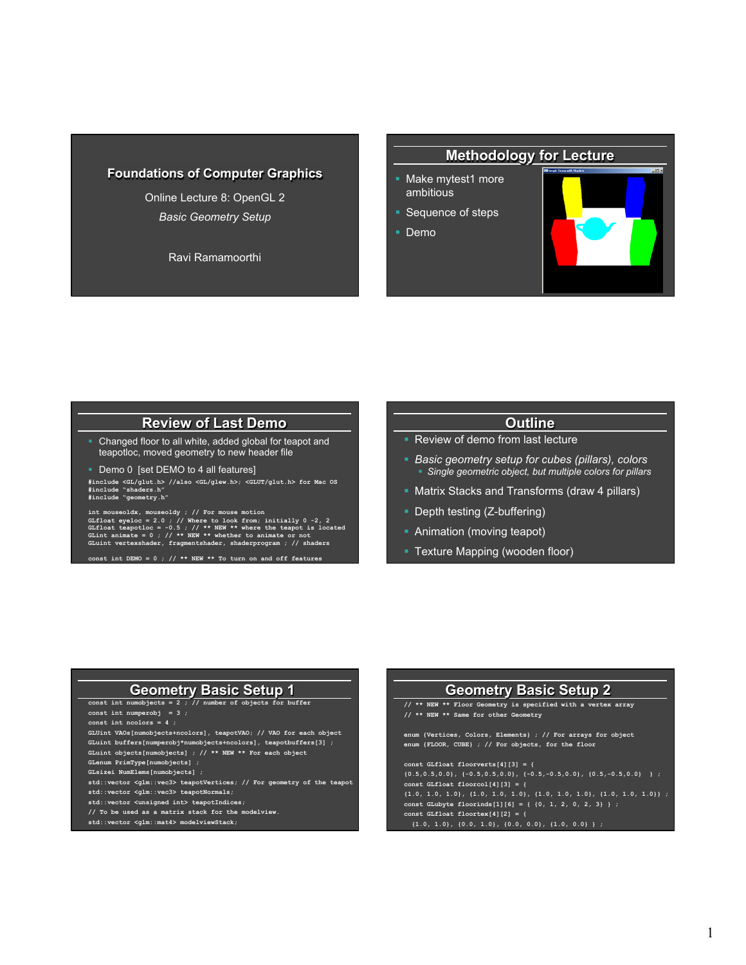#### **Foundations of Computer Graphics**

Online Lecture 8: OpenGL 2 *Basic Geometry Setup* 

Ravi Ramamoorthi

#### **Methodology for Lecture**

- § Make mytest1 more ambitious
- Sequence of steps
- § Demo



### **Review of Last Demo**

- Changed floor to all white, added global for teapot and teapotloc, moved geometry to new header file
- **Demo 0 [set DEMO to 4 all features]**

**#include <GL/glut.h> //also <GL/glew.h>; <GLUT/glut.h> for Mac OS #include "shaders.h" #include "geometry.h"** 

int mouseoldx, mouseoldy / // For mouse motion<br>GLfloat eyeloc = 2.0 ; // Where to look from; initially 0 -2, 2<br>GLfloat teapotloc = -0.5 ; // \*\* NEW \*\* where the teapot is located<br>GLuint animate = 0 ; // \*\* NEW \*\* whether t

**const int DEMO = 0 ; // \*\* NEW \*\* To turn on and off features** 

#### **Outline**

- Review of demo from last lecture
- § *Basic geometry setup for cubes (pillars), colors*  § *Single geometric object, but multiple colors for pillars*
- Matrix Stacks and Transforms (draw 4 pillars)
- Depth testing (Z-buffering)
- Animation (moving teapot)
- **Texture Mapping (wooden floor)**

### **Geometry Basic Setup 1**

**const int numobjects = 2 ; // number of objects for buffer const int numperobj = 3 ; const int ncolors = 4 ; GLUint VAOs[numobjects+ncolors], teapotVAO; // VAO for each object GLuint buffers[numperobj\*numobjects+ncolors], teapotbuffers[3] ; GLuint objects[numobjects] ; // \*\* NEW \*\* For each object GLenum PrimType[numobjects] ; GLsizei NumElems[numobjects] ; std::vector <glm::vec3> teapotVertices; // For geometry of the teapot** 

- **std::vector <glm::vec3> teapotNormals;**
- **std::vector <unsigned int> teapotIndices;**
- **// To be used as a matrix stack for the modelview.**
- **std::vector <glm::mat4> modelviewStack;**

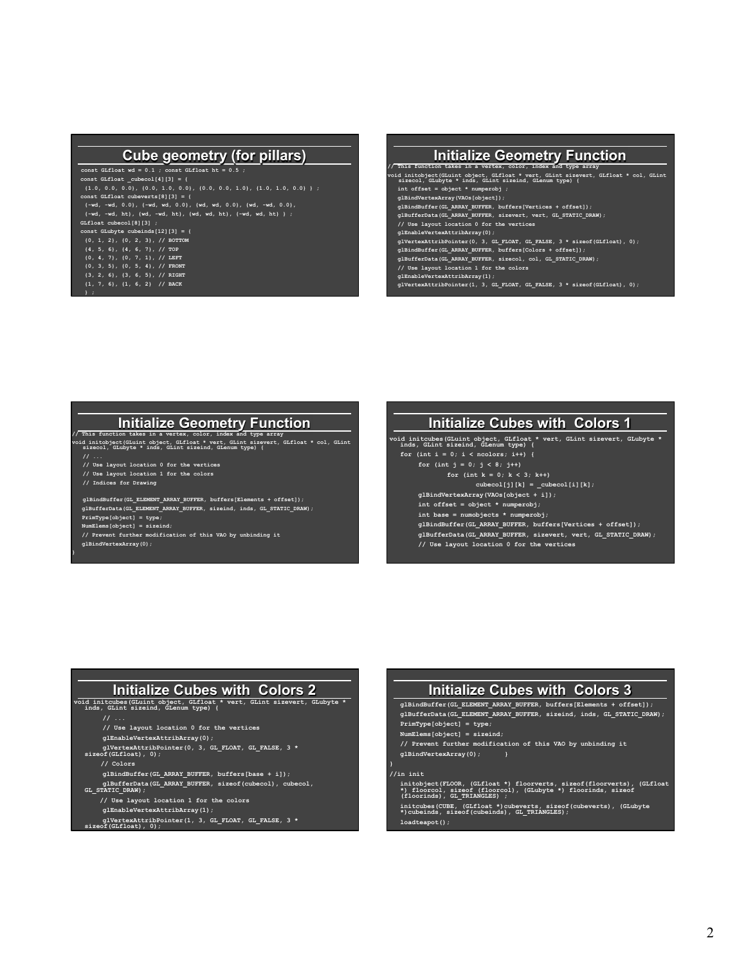#### **Cube geometry (for pillars)**

**const GLfloat wd = 0.1 ; const GLfloat ht = 0.5 ; const GLfloat \_cubecol[4][3] = { {1.0, 0.0, 0.0}, {0.0, 1.0, 0.0}, {0.0, 0.0, 1.0}, {1.0, 1.0, 0.0} } ; const GLfloat cubeverts[8][3] = { GLfloat cubecol[8][3] ; const GLubyte cubeinds[12][3] = { {0, 1, 2}, {0, 2, 3}, // BOTTOM {4, 5, 6}, {4, 6, 7}, // TOP {0, 4, 7}, {0, 7, 1}, // LEFT {0, 3, 5}, {0, 5, 4}, // FRONT** 

#### **{3, 2, 6}, {3, 6, 5}, // RIGHT {1, 7, 6}, {1, 6, 2} // BACK**

**} ;** 

#### **Initialize Geometry Function // This function takes in a vertex, color, index and type array void initobject(GLuint object, GLfloat \* vert, GLint sizevert, GLfloat \* col, GLint sizecol, GLubyte \* inds, GLint sizeind, GLenum type) { int offset = object \* numperobj ; glBindVertexArray(VAOs[object]); glBindBuffer(GL\_ARRAY\_BUFFER, buffers[Vertices + offset]); glBufferData(GL\_ARRAY\_BUFFER, sizevert, vert, GL\_STATIC\_DRAW); // Use layout location 0 for the vertices glEnableVertexAttribArray(0); glVertexAttribPointer(0, 3, GL\_FLOAT, GL\_FALSE, 3 \* sizeof(GLfloat), 0); glBindBuffer(GL\_ARRAY\_BUFFER, buffers[Colors + offset]); glBufferData(GL\_ARRAY\_BUFFER, sizecol, col, GL\_STATIC\_DRAW); // Use layout location 1 for the colors glEnableVertexAttribArray(1);**

 **glVertexAttribPointer(1, 3, GL\_FLOAT, GL\_FALSE, 3 \* sizeof(GLfloat), 0);** 

### **Initialize Geometry Function**

// This function takes in a vertex, color, index and type array<br>void initobject(GLuint object, GLfloat \* vert, GLint sizevert, GLfloat \* col, GLint<br>sizecol, GLubyte \* inds, GLint sizeind, GLenum type) {

- **// ...**
- **// Use layout location 0 for the vertices // Use layout location 1 for the colors**
- **// Indices for Drawing**

**glBindBuffer(GL\_ELEMENT\_ARRAY\_BUFFER, buffers[Elements + offset]); glBufferData(GL\_ELEMENT\_ARRAY\_BUFFER, sizeind, inds, GL\_STATIC\_DRAW); PrimType[object] = type;** 

**}** 

 **NumElems[object] = sizeind; // Prevent further modification of this VAO by unbinding it glBindVertexArray(0);** 

## **Initialize Cubes with Colors 1**

**void initcubes(GLuint object, GLfloat \* vert, GLint sizevert, GLubyte \* inds, GLint sizeind, GLenum type) {** 

**for (int i = 0; i < ncolors; i++) { for (int j = 0; j < 8; j++)** 

- **for (int k = 0; k < 3; k++)**
- $\texttt{cubecol[j][k]} = \texttt{\_cubecol[i][k]} \; ;$ **glBindVertexArray(VAOs[object + i]);**
- **int offset = object \* numperobj;**
- **int base = numobjects \* numperobj;**
- **glBindBuffer(GL\_ARRAY\_BUFFER, buffers[Vertices + offset]); glBufferData(GL\_ARRAY\_BUFFER, sizevert, vert, GL\_STATIC\_DRAW); // Use layout location 0 for the vertices**

# **Initialize Cubes with Colors 2**

**void initcubes(GLuint object, GLfloat \* vert, GLint sizevert, GLubyte \* inds, GLint sizeind, GLenum type) {** 

- 
- **// Use layout location 0 for the vertices**
- **glEnableVertexAttribArray(0);**
- **glVertexAttribPointer(0, 3, GL\_FLOAT, GL\_FALSE, 3 \* sizeof(GLfloat), 0);** 
	- **// Colors**
	- **glBindBuffer(GL\_ARRAY\_BUFFER, buffers[base + i]);**
- **glBufferData(GL\_ARRAY\_BUFFER, sizeof(cubecol), cubecol, GL\_STATIC\_DRAW);**
- **// Use layout location 1 for the colors**
- **glEnableVertexAttribArray(1);**
- **glVertexAttribPointer(1, 3, GL\_FLOAT, GL\_FALSE, 3 \*** sof(GLfloat), 0);

#### **Initialize Cubes with Colors 3**

**glBindBuffer(GL\_ELEMENT\_ARRAY\_BUFFER, buffers[Elements + offset]); glBufferData(GL\_ELEMENT\_ARRAY\_BUFFER, sizeind, inds, GL\_STATIC\_DRAW); PrimType[object] = type;** 

- **NumElems[object] = sizeind;**
- 
- **// Prevent further modification of this VAO by unbinding it glBindVertexArray(0); }**

#### **//in init**

- **initobject(FLOOR, (GLfloat \*) floorverts, sizeof(floorverts), (GLfloat \*) floorcol, sizeof (floorcol), (GLubyte \*) floorinds, sizeof (floorinds), GL\_TRIANGLES) ;**
- **initcubes(CUBE, (GLfloat \*)cubeverts, sizeof(cubeverts), (GLubyte \*)cubeinds, sizeof(cubeinds), GL\_TRIANGLES);**

 **loadteapot();**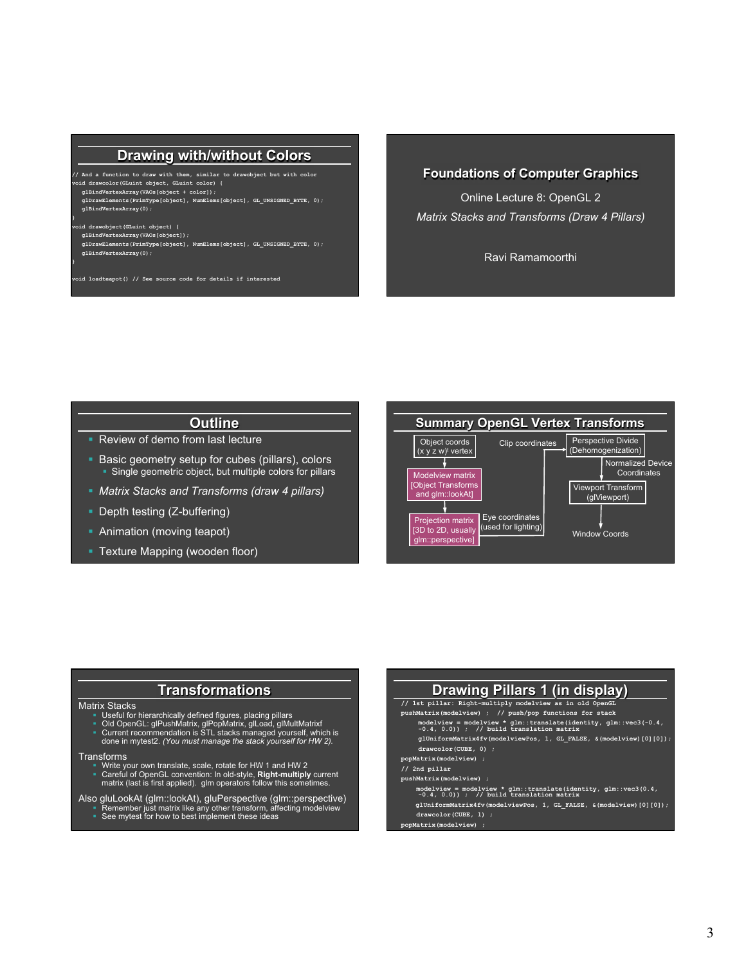#### **Drawing with/without Colors**

**// And a function to draw with them, similar to drawobject but with color void drawcolor(GLuint object, GLuint color) { glBindVertexArray(VAOs[object + color]); glDrawElements(PrimType[object], NumElems[object], GL\_UNSIGNED\_BYTE, 0); glBindVertexArray(0); } void drawobject(GLuint object) { glBindVertexArray(VAOs[object]);** 

 **glDrawElements(PrimType[object], NumElems[object], GL\_UNSIGNED\_BYTE, 0); glBindVertexArray(0);** 

**void loadteapot() // See source code for details if interested** 

**}** 

**Foundations of Computer Graphics** 

Online Lecture 8: OpenGL 2 *Matrix Stacks and Transforms (Draw 4 Pillars)* 

Ravi Ramamoorthi

### **Outline**

- Review of demo from last lecture
- Basic geometry setup for cubes (pillars), colors § Single geometric object, but multiple colors for pillars
- § *Matrix Stacks and Transforms (draw 4 pillars)*
- Depth testing (Z-buffering)
- Animation (moving teapot)
- § Texture Mapping (wooden floor)



#### **Transformations**

- Matrix Stacks<br>
"I Useful for hierarchically defined figures, placing pillars<br>
"I Old OpenGL: glPushMatrix, glPopMatrix, glLoad, glMultMatrixf<br>
"Current recommendation is STL stacks managed yourself, which is<br>
"done in myte
	-

- Transforms<br><sup>8</sup> Write your own translate, scale, rotate for HW 1 and HW 2<br><sup>8</sup> Careful of OpenGL convention: In old-style, **Right-multiply** current<br>matrix (last is first applied). glm operators follow this sometimes.
- 
- Also gluLookAt (glm::lookAt), gluPerspective (glm::perspective)<br>Remember just matrix like any other transform, affecting modelview<br>See mytest for how to best implement these ideas
	-

#### **Drawing Pillars 1 (in display) // 1st pillar: Right-multiply modelview as in old OpenGL pushMatrix(modelview) ; // push/pop functions for stack modelview = modelview \* glm::translate(identity, glm::vec3(-0.4, -0.4, 0.0)) ; // build translation matrix glUniformMatrix4fv(modelviewPos, 1, GL\_FALSE, &(modelview)[0][0]); drawcolor(CUBE, 0) ; popMatrix(modelview) ; // 2nd pillar pushMatrix(modelview) ; modelview = modelview \* glm::translate(identity, glm::vec3(0.4, -0.4, 0.0)) ; // build translation matrix glUniformMatrix4fv(modelviewPos, 1, GL\_FALSE, &(modelview)[0][0]); drawcolor(CUBE, 1) ;**

 **popMatrix(modelview) ;**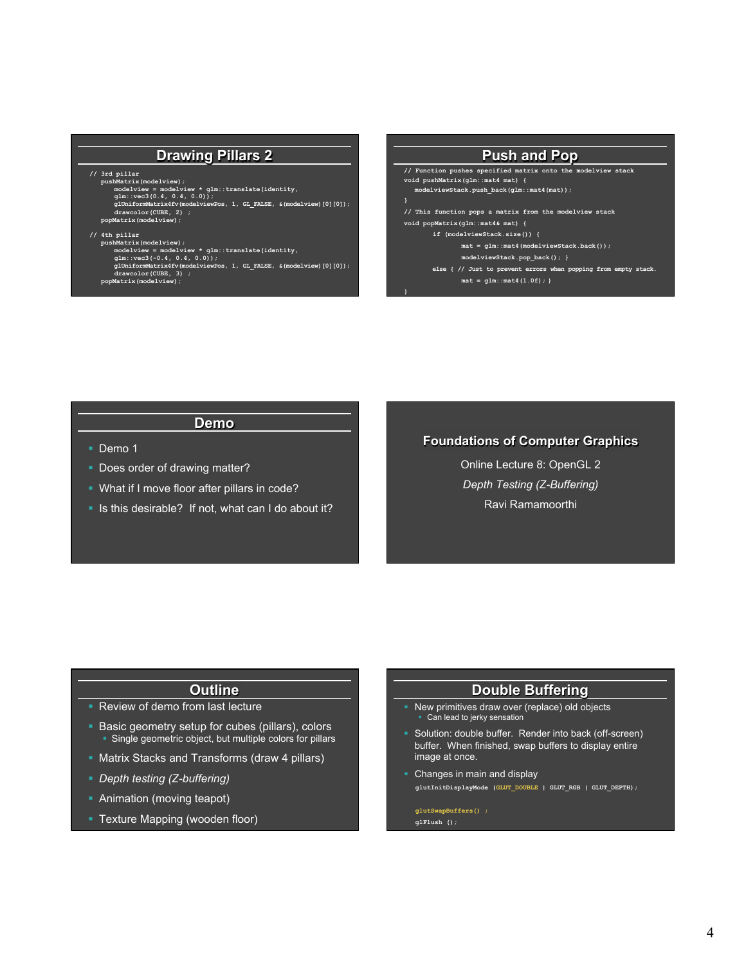#### **Drawing Pillars 2**

- 
- 

// 3rd pillar<br>pushMatrix (modelview);<br>modelview = modelview \* glm::translate(identity,<br>glm::vec3(0.4, 0.4, 0.0));<br>glUniformMatrix4fv(modelviewPos, 1, GL\_FALSE, &(modelview)[0][0]);<br>drawcolor(CUBE, 2);<br>popMatrix (modelview)

#### **// 4th pillar**

- -
- pushMatrix(modelview);<br>modelview = modelview \* glm::translate(identity,<br>glm::vec3(-0.4, 0.4, 0.0));<br>gl0niformMatrix4fv(modelviewPos, 1, GL\_FALSE, &(modelview)[0][0]);<br>drawcolor(CUBE, 3);
	- **popMatrix(modelview);**

#### **Push and Pop // Function pushes specified matrix onto the modelview stack void pushMatrix(glm::mat4 mat) { modelviewStack.push\_back(glm::mat4(mat)); // This function pops a matrix from the modelview stack void popMatrix(glm::mat4& mat) { if (modelviewStack.size()) { mat = glm::mat4(modelviewStack.back()); modelviewStack.pop\_back(); }**

**}** 

**}** 

else { // Just to prevent errors when popping from empty stack.  **mat = glm::mat4(1.0f); }** 

#### **Demo**

- § Demo 1
- **Does order of drawing matter?**
- § What if I move floor after pillars in code?
- § Is this desirable? If not, what can I do about it?

#### **Foundations of Computer Graphics**

Online Lecture 8: OpenGL 2 *Depth Testing (Z-Buffering)*  Ravi Ramamoorthi

#### **Outline**

- Review of demo from last lecture
- Basic geometry setup for cubes (pillars), colors • Single geometric object, but multiple colors for pillars
- Matrix Stacks and Transforms (draw 4 pillars)
- § *Depth testing (Z-buffering)*
- Animation (moving teapot)
- **Texture Mapping (wooden floor)**

#### **Double Buffering**

- New primitives draw over (replace) old objects Can lead to jerky sensation
- § Solution: double buffer. Render into back (off-screen) buffer. When finished, swap buffers to display entire image at once.
- Changes in main and display **glutInitDisplayMode (GLUT\_DOUBLE | GLUT\_RGB | GLUT\_DEPTH);**

#### **glutSwapBuffers() ; glFlush ();**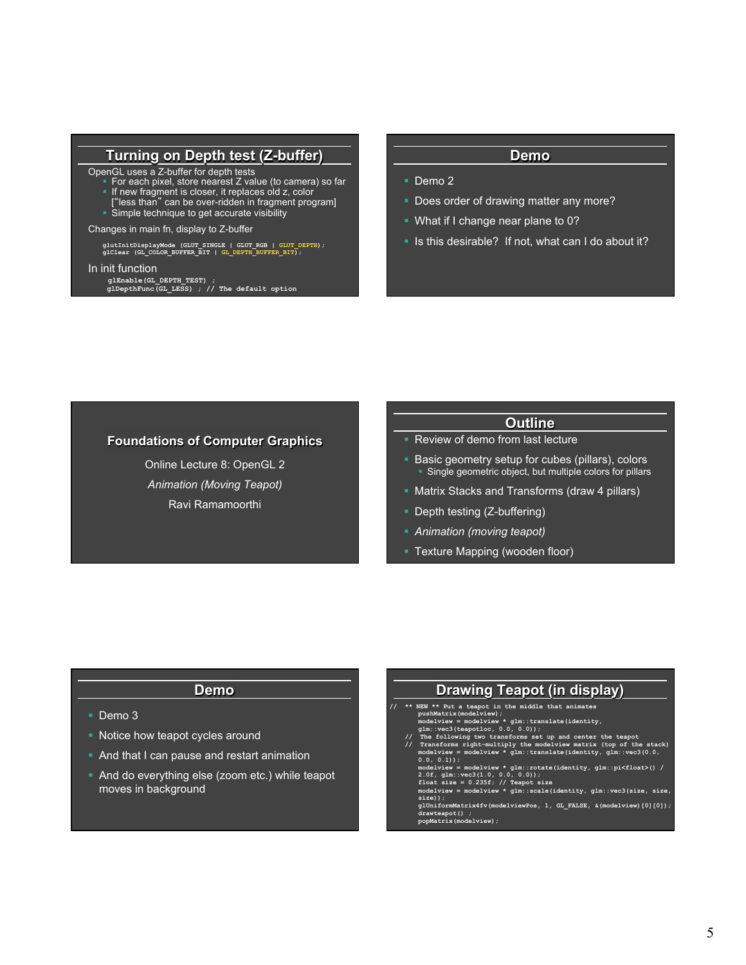#### **Turning on Depth test (Z-buffer)**

- OpenGL uses a Z-buffer for depth tests § For each pixel, store nearest Z value (to camera) so far
	- **If new fragment is closer, it replaces old z, color**
	- ["less than" can be over-ridden in fragment program]
	- Simple technique to get accurate visibility

Changes in main fn, display to Z-buffer

**glutInitDisplayMode (GLUT\_SINGLE | GLUT\_RGB | GLUT\_DEPTH); glClear (GL\_COLOR\_BUFFER\_BIT | GL\_DEPTH\_BUFFER\_BIT);** 

#### In init function

**glEnable(GL\_DEPTH\_TEST) ; glDepthFunc(GL\_LESS) ; // The default option** 

#### **Demo**

- Demo 2
- Does order of drawing matter any more?
- § What if I change near plane to 0?
- § Is this desirable? If not, what can I do about it?

#### **Foundations of Computer Graphics**

Online Lecture 8: OpenGL 2 *Animation (Moving Teapot)*  Ravi Ramamoorthi

#### **Outline**

- Review of demo from last lecture
- Basic geometry setup for cubes (pillars), colors • Single geometric object, but multiple colors for pillars
- Matrix Stacks and Transforms (draw 4 pillars)
- Depth testing (Z-buffering)
- § *Animation (moving teapot)*
- **Texture Mapping (wooden floor)**

#### **Demo**

- Demo 3
- Notice how teapot cycles around
- And that I can pause and restart animation
- And do everything else (zoom etc.) while teapot moves in background

# **Drawing Teapot (in display)**  // \*\* NEW \*\* Put a teapot in the middle that animates<br>pushMatrix (modelview);<br>modelview = modelview \* glm::translate(identity,<br>glm::vec3(teapotloc, 0.0, 0.0));<br>// The following two transforms set up and center the teapot<br>/ 0.0, 0.1));<br>modelview = modelview \* glm::rotate(identity, glm::pi<float>() /<br>2.0f, glm::vec3(1.0, 0.0, 0.0));<br>float size = 0.235f; // Teapot size<br>modelview = modelview \* glm::scale(identity, glm::vec3(size, size,<br>size)); **glUniformMatrix4fv(modelviewPos, 1, GL\_FALSE, &(modelview)[0][0]); drawteapot() ; popMatrix(modelview);**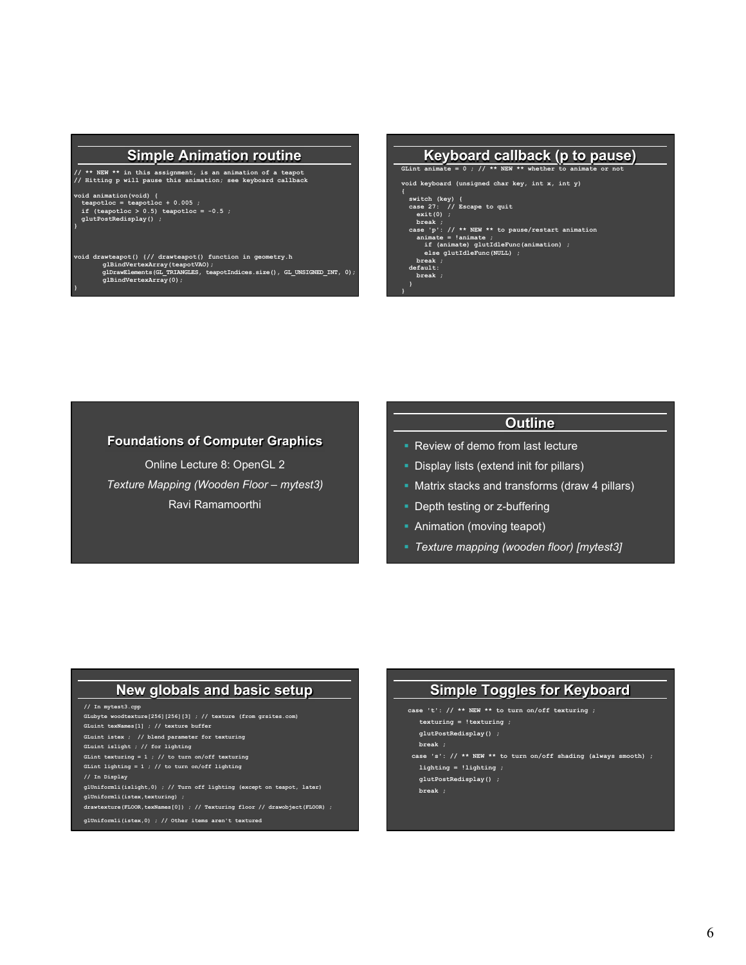#### **Simple Animation routine**

**// \*\* NEW \*\* in this assignment, is an animation of a teapot // Hitting p will pause this animation; see keyboard callback** 

**}**

**}** 

**void animation(void) { teapotloc = teapotloc + 0.005 ; if (teapotloc > 0.5) teapotloc = -0.5 ; glutPostRedisplay() ;** 

# **void drawteapot() {// drawteapot() function in geometry.h glBindVertexArray(teapotVAO); glDrawElements(GL\_TRIANGLES, teapotIndices.size(), GL\_UNSIGNED\_INT, 0); glBindVertexArray(0);**



#### **Foundations of Computer Graphics**

Online Lecture 8: OpenGL 2 *Texture Mapping (Wooden Floor – mytest3)*  Ravi Ramamoorthi

### **Outline**

- Review of demo from last lecture
- § Display lists (extend init for pillars)
- Matrix stacks and transforms (draw 4 pillars)
- Depth testing or z-buffering
- Animation (moving teapot)

í

§ *Texture mapping (wooden floor) [mytest3]* 

# **New globals and basic setup**

#### **// In mytest3.cpp**

**GLubyte woodtexture[256][256][3] ; // texture (from grsites.com) GLuint texNames[1] ; // texture buffer GLuint istex ; // blend parameter for texturing GLuint islight ; // for lighting GLint texturing = 1 ; // to turn on/off texturing GLint lighting = 1 ; // to turn on/off lighting // In Display glUniform1i(islight,0) ; // Turn off lighting (except on teapot, later) glUniform1i(istex,texturing) ;**  drawtexture(FLOOR,texNames[0]) ; // Texturing floor // drawobject(FLOOR) ;

**glUniform1i(istex,0) ; // Other items aren't textured** 

# **Simple Toggles for Keyboard**

- **case 't': // \*\* NEW \*\* to turn on/off texturing ;** 
	- **texturing = !texturing ;**
- **glutPostRedisplay() ;**
- **break ;**
- **case 's': // \*\* NEW \*\* to turn on/off shading (always smooth) ;**
- **lighting = !lighting ; glutPostRedisplay() ;**
- **break ;**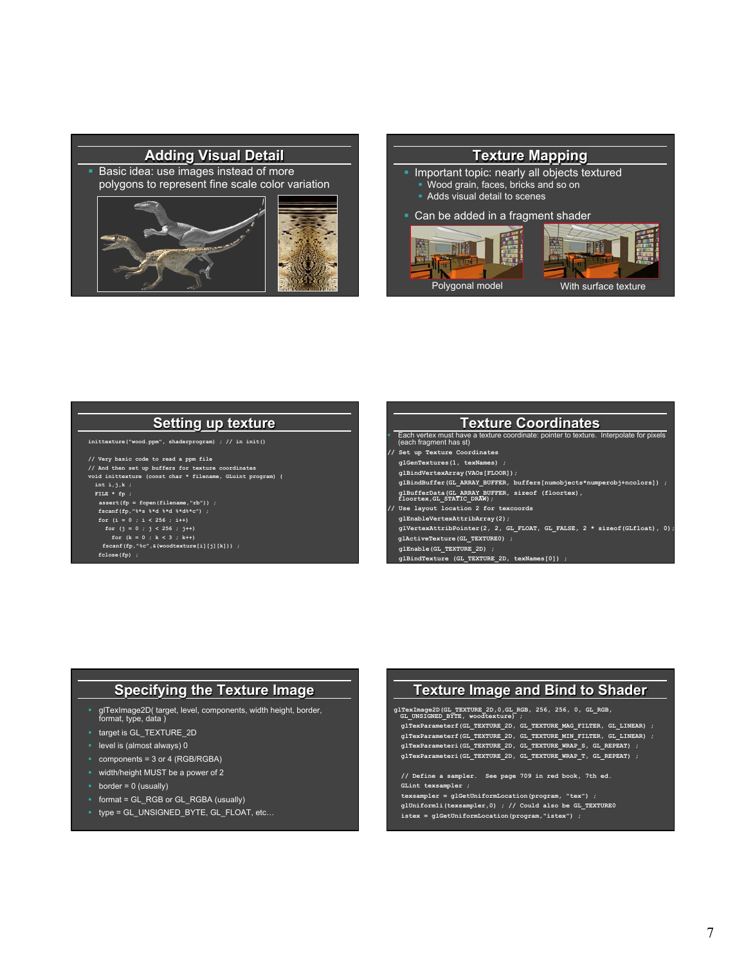

#### **Texture Mapping**

- Important topic: nearly all objects textured
	- § Wood grain, faces, bricks and so on
	- § Adds visual detail to scenes
- Can be added in a fragment shader



### **Setting up texture**

- **inittexture("wood.ppm", shaderprogram) ; // in init()**
- **// Very basic code to read a ppm file**
- **// And then set up buffers for texture coordinates void inittexture (const char \* filename, GLuint program) {**

 **FILE \* fp ;** 

- **assert(fp = fopen(filename,"rb")) ; fscanf(fp,"%\*s %\*d %\*d %\*d%\*c") ;**
- 
- **for (i = 0 ; i < 256 ; i++) for (j = 0 ; j < 256 ; j++)** 
	-
	- **fscanf(fp,"%c",&(woodtexture[i][j][k])) ; fclose(fp) ;**

#### **Texture Coordinates**

§ Each vertex must have a texture coordinate: pointer to texture. Interpolate for pixels (each fragment has st)

- 
- **// Set up Texture Coordinates glGenTextures(1, texNames) ;**
- **glBindVertexArray(VAOs[FLOOR]);**
- **glBindBuffer(GL\_ARRAY\_BUFFER, buffers[numobjects\*numperobj+ncolors]) ;**
- **glBufferData(GL\_ARRAY\_BUFFER, sizeof (floortex), floortex,GL\_STATIC\_DRAW);**
- **// Use layout location 2 for texcoords**
- **glEnableVertexAttribArray(2);**
- **glVertexAttribPointer(2, 2, GL\_FLOAT, GL\_FALSE, 2 \* sizeof(GLfloat), 0);**
- **glActiveTexture(GL\_TEXTURE0) ;**
- **glEnable(GL\_TEXTURE\_2D) ;**
- **glBindTexture (GL\_TEXTURE\_2D, texNames[0]) ;**

#### **Specifying the Texture Image**

- § glTexImage2D( target, level, components, width height, border, format, type, data )
- § target is GL\_TEXTURE\_2D
- **•** level is (almost always) 0
- § components = 3 or 4 (RGB/RGBA)
- width/height MUST be a power of 2
- $\bullet$  border = 0 (usually)
- § format = GL\_RGB or GL\_RGBA (usually)
- § type = GL\_UNSIGNED\_BYTE, GL\_FLOAT, etc…

#### **Texture Image and Bind to Shader**

**glTexImage2D(GL\_TEXTURE\_2D,0,GL\_RGB, 256, 256, 0, GL\_RGB, GL\_UNSIGNED\_BYTE, woodtexture) ;** 

 **glTexParameterf(GL\_TEXTURE\_2D, GL\_TEXTURE\_MAG\_FILTER, GL\_LINEAR) ; glTexParameterf(GL\_TEXTURE\_2D, GL\_TEXTURE\_MIN\_FILTER, GL\_LINEAR) ; glTexParameteri(GL\_TEXTURE\_2D, GL\_TEXTURE\_WRAP\_S, GL\_REPEAT) ; glTexParameteri(GL\_TEXTURE\_2D, GL\_TEXTURE\_WRAP\_T, GL\_REPEAT) ;** 

 **// Define a sampler. See page 709 in red book, 7th ed. GLint texsampler ; texsampler = glGetUniformLocation(program, "tex") ; glUniform1i(texsampler,0) ; // Could also be GL\_TEXTURE0** 

 **istex = glGetUniformLocation(program,"istex") ;**